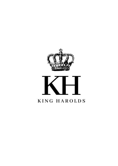

## KING HAROLDS